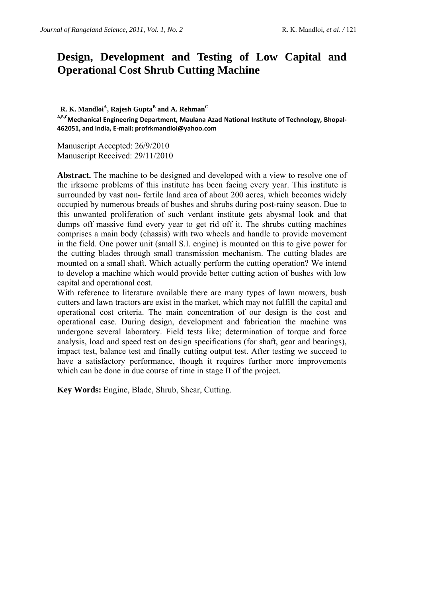# **Design, Development and Testing of Low Capital and Operational Cost Shrub Cutting Machine**

 ${\bf R}.$   ${\bf K}.$  Mandloi $^{\rm A},$  Rajesh Gupta $^{\rm B}$  and  ${\bf A}.$  Rehman $^{\rm C}$ 

**A,B,CMechanical Engineering Department, Maulana Azad National Institute of Technology, Bhopal‐ 462051, and India, E‐mail: profrkmandloi@yahoo.com** 

Manuscript Accepted: 26/9/2010 Manuscript Received: 29/11/2010

Abstract. The machine to be designed and developed with a view to resolve one of the irksome problems of this institute has been facing every year. This institute is surrounded by vast non- fertile land area of about 200 acres, which becomes widely occupied by numerous breads of bushes and shrubs during post-rainy season. Due to this unwanted proliferation of such verdant institute gets abysmal look and that dumps off massive fund every year to get rid off it. The shrubs cutting machines comprises a main body (chassis) with two wheels and handle to provide movement in the field. One power unit (small S.I. engine) is mounted on this to give power for the cutting blades through small transmission mechanism. The cutting blades are mounted on a small shaft. Which actually perform the cutting operation? We intend to develop a machine which would provide better cutting action of bushes with low capital and operational cost.

With reference to literature available there are many types of lawn mowers, bush cutters and lawn tractors are exist in the market, which may not fulfill the capital and operational cost criteria. The main concentration of our design is the cost and operational ease. During design, development and fabrication the machine was undergone several laboratory. Field tests like; determination of torque and force analysis, load and speed test on design specifications (for shaft, gear and bearings), impact test, balance test and finally cutting output test. After testing we succeed to have a satisfactory performance, though it requires further more improvements which can be done in due course of time in stage II of the project.

**Key Words:** Engine, Blade, Shrub, Shear, Cutting.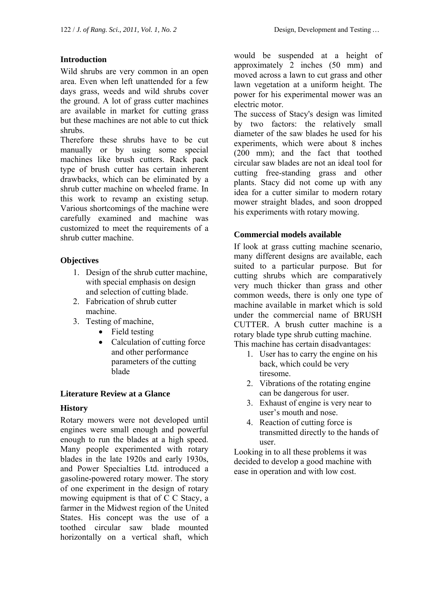## **Introduction**

Wild shrubs are very common in an open area. Even when left unattended for a few days grass, weeds and wild shrubs cover the ground. A lot of grass cutter machines are available in market for cutting grass but these machines are not able to cut thick shrubs.

Therefore these shrubs have to be cut manually or by using some special machines like brush cutters. Rack pack type of brush cutter has certain inherent drawbacks, which can be eliminated by a shrub cutter machine on wheeled frame. In this work to revamp an existing setup. Various shortcomings of the machine were carefully examined and machine was customized to meet the requirements of a shrub cutter machine.

## **Objectives**

- 1. Design of the shrub cutter machine, with special emphasis on design and selection of cutting blade.
- 2. Fabrication of shrub cutter machine.
- 3. Testing of machine,
	- Field testing
	- Calculation of cutting force and other performance parameters of the cutting blade

#### **Literature Review at a Glance**

# **History**

Rotary mowers were not developed until engines were small enough and powerful enough to run the blades at a high speed. Many people experimented with rotary blades in the late 1920s and early 1930s, and Power Specialties Ltd. introduced a gasoline-powered rotary mower. The story of one experiment in the design of rotary mowing equipment is that of C C Stacy, a farmer in the Midwest region of the United States. His concept was the use of a toothed circular saw blade mounted horizontally on a vertical shaft, which

would be suspended at a height of approximately 2 inches (50 mm) and moved across a lawn to cut grass and other lawn vegetation at a uniform height. The power for his experimental mower was an electric motor.

The success of Stacy's design was limited by two factors: the relatively small diameter of the saw blades he used for his experiments, which were about 8 inches (200 mm); and the fact that toothed circular saw blades are not an ideal tool for cutting free-standing grass and other plants. Stacy did not come up with any idea for a cutter similar to modern rotary mower straight blades, and soon dropped his experiments with rotary mowing.

## **Commercial models available**

If look at grass cutting machine scenario, many different designs are available, each suited to a particular purpose. But for cutting shrubs which are comparatively very much thicker than grass and other common weeds, there is only one type of machine available in market which is sold under the commercial name of BRUSH CUTTER. A brush cutter machine is a rotary blade type shrub cutting machine. This machine has certain disadvantages:

- 1. User has to carry the engine on his back, which could be very tiresome.
- 2. Vibrations of the rotating engine can be dangerous for user.
- 3. Exhaust of engine is very near to user's mouth and nose.
- 4. Reaction of cutting force is transmitted directly to the hands of user.

Looking in to all these problems it was decided to develop a good machine with ease in operation and with low cost.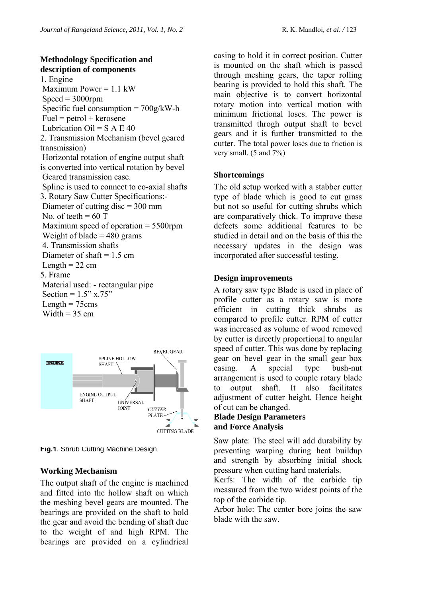# **Methodology Specification and description of components**

1. Engine Maximum Power  $= 1.1 \text{ kW}$  $Speed = 3000$ rpm Specific fuel consumption  $= 700g/kWh$  $Fuel = petrol + kerosene$ Lubrication  $Oil = S A E 40$ 2. Transmission Mechanism (bevel geared transmission) Horizontal rotation of engine output shaft is converted into vertical rotation by bevel Geared transmission case. Spline is used to connect to co-axial shafts 3. Rotary Saw Cutter Specifications:- Diameter of cutting disc = 300 mm No. of teeth  $= 60$  T Maximum speed of operation = 5500rpm Weight of blade  $= 480$  grams 4. Transmission shafts Diameter of shaft  $= 1.5$  cm Length  $= 22$  cm 5. Frame Material used: - rectangular pipe Section =  $1.5$ " x.75" Length  $= 75$ cms Width  $= 35$  cm



**Fig.1**. Shrub Cutting Machine Design

#### **Working Mechanism**

The output shaft of the engine is machined and fitted into the hollow shaft on which the meshing bevel gears are mounted. The bearings are provided on the shaft to hold the gear and avoid the bending of shaft due to the weight of and high RPM. The bearings are provided on a cylindrical

casing to hold it in correct position. Cutter is mounted on the shaft which is passed through meshing gears, the taper rolling bearing is provided to hold this shaft. The main objective is to convert horizontal rotary motion into vertical motion with minimum frictional loses. The power is transmitted throgh output shaft to bevel gears and it is further transmitted to the cutter. The total power loses due to friction is very small. (5 and 7%)

#### **Shortcomings**

The old setup worked with a stabber cutter type of blade which is good to cut grass but not so useful for cutting shrubs which are comparatively thick. To improve these defects some additional features to be studied in detail and on the basis of this the necessary updates in the design was incorporated after successful testing.

#### **Design improvements**

A rotary saw type Blade is used in place of profile cutter as a rotary saw is more efficient in cutting thick shrubs as compared to profile cutter. RPM of cutter was increased as volume of wood removed by cutter is directly proportional to angular speed of cutter. This was done by replacing gear on bevel gear in the small gear box casing. A special type bush-nut arrangement is used to couple rotary blade to output shaft. It also facilitates adjustment of cutter height. Hence height of cut can be changed.

#### **Blade Design Parameters and Force Analysis**

Saw plate: The steel will add durability by preventing warping during heat buildup and strength by absorbing initial shock pressure when cutting hard materials.

Kerfs: The width of the carbide tip measured from the two widest points of the top of the carbide tip.

Arbor hole: The center bore joins the saw blade with the saw.